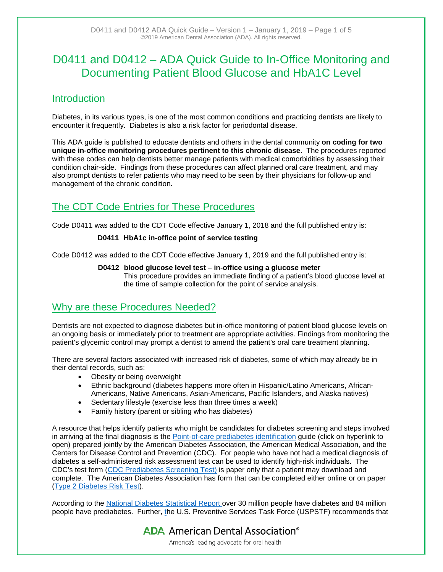# D0411 and D0412 – ADA Quick Guide to In-Office Monitoring and Documenting Patient Blood Glucose and HbA1C Level

### **Introduction**

Diabetes, in its various types, is one of the most common conditions and practicing dentists are likely to encounter it frequently. Diabetes is also a risk factor for periodontal disease.

This ADA guide is published to educate dentists and others in the dental community **on coding for two unique in-office monitoring procedures pertinent to this chronic disease**. The procedures reported with these codes can help dentists better manage patients with medical comorbidities by assessing their condition chair-side. Findings from these procedures can affect planned oral care treatment, and may also prompt dentists to refer patients who may need to be seen by their physicians for follow-up and management of the chronic condition.

## The CDT Code Entries for These Procedures

Code D0411 was added to the CDT Code effective January 1, 2018 and the full published entry is:

### **D0411 HbA1c in-office point of service testing**

Code D0412 was added to the CDT Code effective January 1, 2019 and the full published entry is:

### **D0412 blood glucose level test – in-office using a glucose meter**

This procedure provides an immediate finding of a patient's blood glucose level at the time of sample collection for the point of service analysis.

## Why are these Procedures Needed?

Dentists are not expected to diagnose diabetes but in-office monitoring of patient blood glucose levels on an ongoing basis or immediately prior to treatment are appropriate activities. Findings from monitoring the patient's glycemic control may prompt a dentist to amend the patient's oral care treatment planning.

There are several factors associated with increased risk of diabetes, some of which may already be in their dental records, such as:

- Obesity or being overweight
- Ethnic background (diabetes happens more often in Hispanic/Latino Americans, African-Americans, Native Americans, Asian-Americans, Pacific Islanders, and Alaska natives)
- Sedentary lifestyle (exercise less than three times a week)
- Family history (parent or sibling who has diabetes)

A resource that helps identify patients who might be candidates for diabetes screening and steps involved in arriving at the final diagnosis is the [Point-of-care prediabetes identification](https://assets.ama-assn.org/sub/prevent-diabetes-stat/downloads/point-of-care-prediabetes-identification-algorithm.pdf) guide (click on hyperlink to open) prepared jointly by the American Diabetes Association, the American Medical Association, and the Centers for Disease Control and Prevention (CDC). For people who have not had a medical diagnosis of diabetes a self-administered risk assessment test can be used to identify high-risk individuals. The CDC's test form [\(CDC Prediabetes Screening Test\)](https://www.cdc.gov/diabetes/prevention/pdf/prediabetestest.pdf) is paper only that a patient may download and complete. The American Diabetes Association has form that can be completed either online or on paper [\(Type 2 Diabetes Risk Test\)](http://www.diabetes.org/are-you-at-risk/diabetes-risk-test/).

According to the [National Diabetes Statistical Report](https://www.cdc.gov/diabetes/data/statistics/statistics-report.html) over 30 million people have diabetes and 84 million people have prediabetes. Further, the U.S. Preventive Services Task Force (USPSTF) recommends that

**ADA** American Dental Association<sup>®</sup>

America's leading advocate for oral health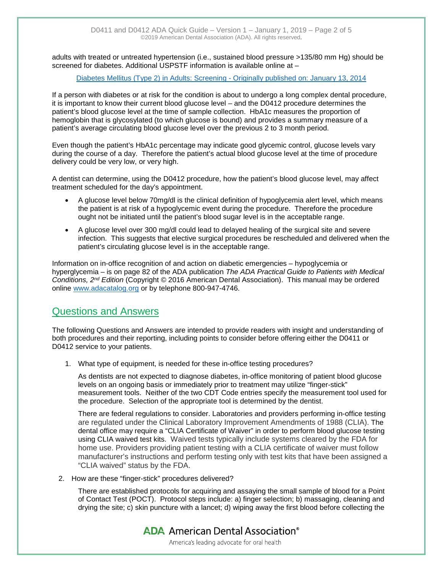adults with treated or untreated hypertension (i.e., sustained blood pressure >135/80 mm Hg) should be screened for diabetes. Additional USPSTF information is available online at –

#### [Diabetes Mellitus \(Type 2\) in Adults: Screening -](https://www.uspreventiveservicestaskforce.org/Page/Document/ClinicalSummaryFinal/diabetes-mellitus-type-2-in-adults-screening) Originally published on: January 13, 2014

If a person with diabetes or at risk for the condition is about to undergo a long complex dental procedure, it is important to know their current blood glucose level – and the D0412 procedure determines the patient's blood glucose level at the time of sample collection. HbA1c measures the proportion of hemoglobin that is glycosylated (to which glucose is bound) and provides a summary measure of a patient's average circulating blood glucose level over the previous 2 to 3 month period.

Even though the patient's HbA1c percentage may indicate good glycemic control, glucose levels vary during the course of a day. Therefore the patient's actual blood glucose level at the time of procedure delivery could be very low, or very high.

A dentist can determine, using the D0412 procedure, how the patient's blood glucose level, may affect treatment scheduled for the day's appointment.

- A glucose level below 70mg/dl is the clinical definition of hypoglycemia alert level, which means the patient is at risk of a hypoglycemic event during the procedure. Therefore the procedure ought not be initiated until the patient's blood sugar level is in the acceptable range.
- A glucose level over 300 mg/dl could lead to delayed healing of the surgical site and severe infection. This suggests that elective surgical procedures be rescheduled and delivered when the patient's circulating glucose level is in the acceptable range.

Information on in-office recognition of and action on diabetic emergencies – hypoglycemia or hyperglycemia – is on page 82 of the ADA publication *The ADA Practical Guide to Patients with Medical Conditions, 2nd Edition* (Copyright © 2016 American Dental Association). This manual may be ordered online [www.adacatalog.org](http://www.adacatalog.org/) or by telephone 800-947-4746.

### Questions and Answers

The following Questions and Answers are intended to provide readers with insight and understanding of both procedures and their reporting, including points to consider before offering either the D0411 or D0412 service to your patients.

1. What type of equipment, is needed for these in-office testing procedures?

As dentists are not expected to diagnose diabetes, in-office monitoring of patient blood glucose levels on an ongoing basis or immediately prior to treatment may utilize "finger-stick" measurement tools. Neither of the two CDT Code entries specify the measurement tool used for the procedure. Selection of the appropriate tool is determined by the dentist.

There are federal regulations to consider. Laboratories and providers performing in-office testing are regulated under the Clinical Laboratory Improvement Amendments of 1988 (CLIA). The dental office may require a "CLIA Certificate of Waiver" in order to perform blood glucose testing using CLIA waived test kits. Waived tests typically include systems cleared by the FDA for home use. Providers providing patient testing with a CLIA certificate of waiver must follow manufacturer's instructions and perform testing only with test kits that have been assigned a "CLIA waived" status by the FDA.

2. How are these "finger-stick" procedures delivered?

There are established protocols for acquiring and assaying the small sample of blood for a Point of Contact Test (POCT). Protocol steps include: a) finger selection; b) massaging, cleaning and drying the site; c) skin puncture with a lancet; d) wiping away the first blood before collecting the

> **ADA** American Dental Association<sup>®</sup> America's leading advocate for oral health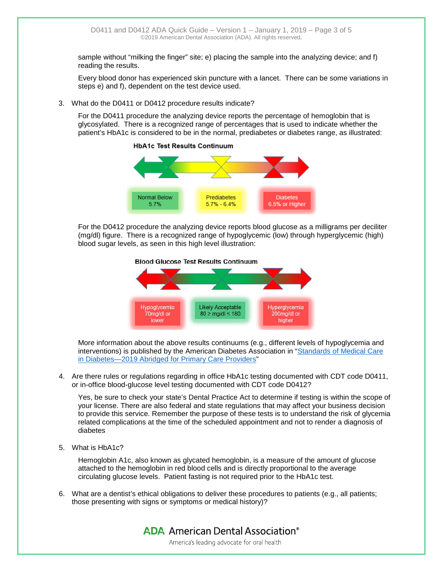sample without "milking the finger" site; e) placing the sample into the analyzing device; and f) reading the results.

Every blood donor has experienced skin puncture with a lancet. There can be some variations in steps e) and f), dependent on the test device used.

3. What do the D0411 or D0412 procedure results indicate?

For the D0411 procedure the analyzing device reports the percentage of hemoglobin that is glycosylated. There is a recognized range of percentages that is used to indicate whether the patient's HbA1c is considered to be in the normal, prediabetes or diabetes range, as illustrated:



**HbA1c Test Results Continuum** 

For the D0412 procedure the analyzing device reports blood glucose as a milligrams per deciliter (mg/dl) figure. There is a recognized range of hypoglycemic (low) through hyperglycemic (high) blood sugar levels, as seen in this high level illustration:





More information about the above results continuums (e.g., different levels of hypoglycemia and interventions) is published by the American Diabetes Association in "Standards of [Medical Care](http://clinical.diabetesjournals.org/content/diaclin/early/2018/12/16/cd18-0105.full.pdf)  [in Diabetes—2019 Abridged for Primary Care Providers"](http://clinical.diabetesjournals.org/content/diaclin/early/2018/12/16/cd18-0105.full.pdf)

4. Are there rules or regulations regarding in office HbA1c testing documented with CDT code D0411, or in-office blood-glucose level testing documented with CDT code D0412?

Yes, be sure to check your state's Dental Practice Act to determine if testing is within the scope of your license. There are also federal and state regulations that may affect your business decision to provide this service. Remember the purpose of these tests is to understand the risk of glycemia related complications at the time of the scheduled appointment and not to render a diagnosis of diabetes

5. What is HbA1c?

Hemoglobin A1c, also known as glycated hemoglobin, is a measure of the amount of glucose attached to the hemoglobin in red blood cells and is directly proportional to the average circulating glucose levels. Patient fasting is not required prior to the HbA1c test.

6. What are a dentist's ethical obligations to deliver these procedures to patients (e.g., all patients; those presenting with signs or symptoms or medical history)?

> **ADA** American Dental Association<sup>®</sup> America's leading advocate for oral health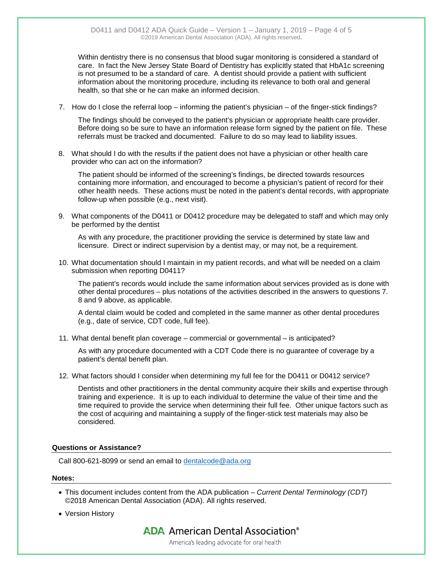Within dentistry there is no consensus that blood sugar monitoring is considered a standard of care. In fact the New Jersey State Board of Dentistry has explicitly stated that HbA1c screening is not presumed to be a standard of care. A dentist should provide a patient with sufficient information about the monitoring procedure, including its relevance to both oral and general health, so that she or he can make an informed decision.

7. How do I close the referral loop – informing the patient's physician – of the finger-stick findings?

The findings should be conveyed to the patient's physician or appropriate health care provider. Before doing so be sure to have an information release form signed by the patient on file. These referrals must be tracked and documented. Failure to do so may lead to liability issues.

8. What should I do with the results if the patient does not have a physician or other health care provider who can act on the information?

The patient should be informed of the screening's findings, be directed towards resources containing more information, and encouraged to become a physician's patient of record for their other health needs. These actions must be noted in the patient's dental records, with appropriate follow-up when possible (e.g., next visit).

9. What components of the D0411 or D0412 procedure may be delegated to staff and which may only be performed by the dentist

As with any procedure, the practitioner providing the service is determined by state law and licensure. Direct or indirect supervision by a dentist may, or may not, be a requirement.

10. What documentation should I maintain in my patient records, and what will be needed on a claim submission when reporting D0411?

The patient's records would include the same information about services provided as is done with other dental procedures – plus notations of the activities described in the answers to questions 7. 8 and 9 above, as applicable.

A dental claim would be coded and completed in the same manner as other dental procedures (e.g., date of service, CDT code, full fee).

11. What dental benefit plan coverage – commercial or governmental – is anticipated?

As with any procedure documented with a CDT Code there is no guarantee of coverage by a patient's dental benefit plan.

12. What factors should I consider when determining my full fee for the D0411 or D0412 service?

Dentists and other practitioners in the dental community acquire their skills and expertise through training and experience. It is up to each individual to determine the value of their time and the time required to provide the service when determining their full fee. Other unique factors such as the cost of acquiring and maintaining a supply of the finger-stick test materials may also be considered.

### **Questions or Assistance?**

Call 800-621-8099 or send an email to [dentalcode@ada.org](mailto:dentalcode@ada.org)

#### **Notes:**

- This document includes content from the ADA publication *Current Dental Terminology (CDT)*  ©2018 American Dental Association (ADA). All rights reserved.
- Version History

**ADA** American Dental Association<sup>®</sup>

America's leading advocate for oral health